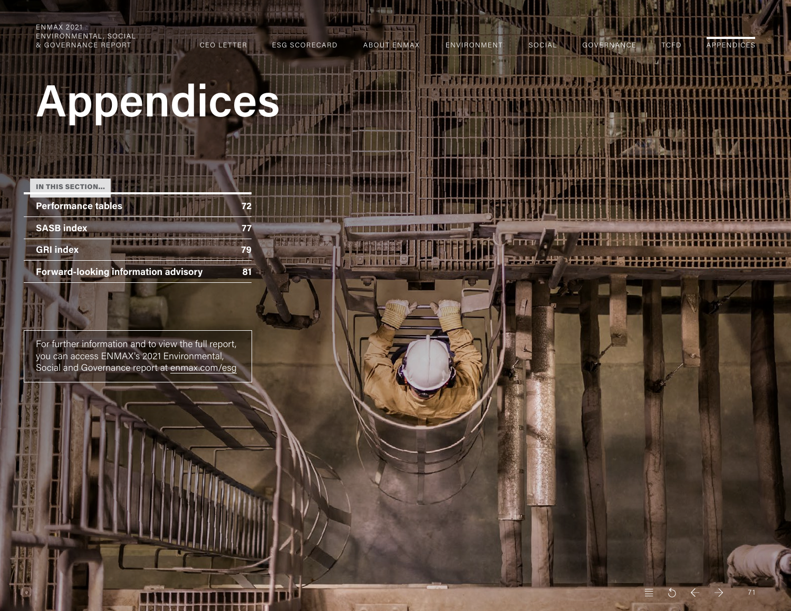<span id="page-0-0"></span>ENMAX 2021 ENVIRONMENTAL, SOCIAL & GOVERNANCE REPORT CEO LETTER ESG SCORECARD ABOUT ENMAX ENVIRONMENT SOCIAL GOVERNANCE TCFD APPENDICES

# **Appendices**

| <b>IN THIS SECTION</b>                      |  |
|---------------------------------------------|--|
| <b>Performance tables</b>                   |  |
| <b>SASB index</b>                           |  |
| <b>GRI index</b>                            |  |
| <b>Forward-looking information advisory</b> |  |

For further information and to view the full report, you can access ENMAX's 2021 Environmental, Social and Governance report at [enmax.com/esg](https://www.enmax.com/about-us/sustainability/overview/esg-report)

 $\equiv$  5

7 1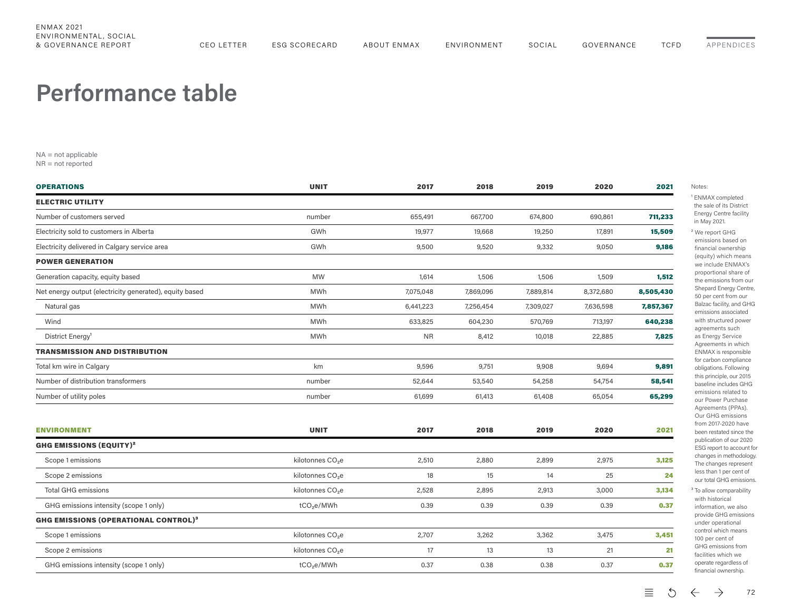#### <span id="page-1-0"></span>**Performance table**

NA = not applicable

NR = not reported

| <b>OPERATIONS</b>                                       | <b>UNIT</b>                  | 2017      | 2018      | 2019      | 2020      | 2021      |
|---------------------------------------------------------|------------------------------|-----------|-----------|-----------|-----------|-----------|
| <b>ELECTRIC UTILITY</b>                                 |                              |           |           |           |           |           |
| Number of customers served                              | number                       | 655,491   | 667,700   | 674,800   | 690,861   | 711,233   |
| Electricity sold to customers in Alberta                | GWh                          | 19,977    | 19,668    | 19,250    | 17,891    | 15,509    |
| Electricity delivered in Calgary service area           | GWh                          | 9,500     | 9,520     | 9,332     | 9,050     | 9,186     |
| <b>POWER GENERATION</b>                                 |                              |           |           |           |           |           |
| Generation capacity, equity based                       | <b>MW</b>                    | 1,614     | 1,506     | 1,506     | 1,509     | 1,512     |
| Net energy output (electricity generated), equity based | MWh                          | 7,075,048 | 7,869,096 | 7,889,814 | 8,372,680 | 8,505,430 |
| Natural gas                                             | <b>MWh</b>                   | 6,441,223 | 7,256,454 | 7,309,027 | 7,636,598 | 7,857,367 |
| Wind                                                    | <b>MWh</b>                   | 633,825   | 604,230   | 570,769   | 713,197   | 640,238   |
| District Energy <sup>1</sup>                            | <b>MWh</b>                   | <b>NR</b> | 8,412     | 10,018    | 22,885    | 7,825     |
| <b>TRANSMISSION AND DISTRIBUTION</b>                    |                              |           |           |           |           |           |
| Total km wire in Calgary                                | km                           | 9,596     | 9,751     | 9,908     | 9,694     | 9,891     |
| Number of distribution transformers                     | number                       | 52,644    | 53,540    | 54,258    | 54,754    | 58,541    |
| Number of utility poles                                 | number                       | 61,699    | 61,413    | 61,408    | 65,054    | 65,299    |
|                                                         |                              |           |           |           |           |           |
| <b>ENVIRONMENT</b>                                      | <b>UNIT</b>                  | 2017      | 2018      | 2019      | 2020      | 2021      |
| <b>GHG EMISSIONS (EQUITY)<sup>2</sup></b>               |                              |           |           |           |           |           |
| Scope 1 emissions                                       | kilotonnes CO <sub>2</sub> e | 2,510     | 2,880     | 2,899     | 2,975     | 3,125     |
| Scope 2 emissions                                       | kilotonnes CO <sub>2</sub> e | 18        | 15        | 14        | 25        | 24        |
| <b>Total GHG emissions</b>                              | kilotonnes CO <sub>2</sub> e | 2,528     | 2,895     | 2,913     | 3,000     | 3,134     |
| GHG emissions intensity (scope 1 only)                  | tCO <sub>2</sub> e/MWh       | 0.39      | 0.39      | 0.39      | 0.39      | 0.37      |
| <b>GHG EMISSIONS (OPERATIONAL CONTROL)3</b>             |                              |           |           |           |           |           |
| Scope 1 emissions                                       | kilotonnes CO <sub>2</sub> e | 2,707     | 3,262     | 3,362     | 3,475     | 3,451     |
| Scope 2 emissions                                       | kilotonnes CO <sub>2</sub> e | 17        | 13        | 13        | 21        | 21        |
| GHG emissions intensity (scope 1 only)                  | tCO <sub>2</sub> e/MWh       | 0.37      | 0.38      | 0.38      | 0.37      | 0.37      |
|                                                         |                              |           |           |           |           |           |

**NMAX** completed e sale of its District ergy Centre facility May 2021. e report GHG

nissions based on ancial ownership quity) which means e include ENMAX's oportional share of e emissions from our hepard Energy Centre, 50 per cent from our Balzac facility, and GHG nissions associated ith structured power greements such **Energy Service** areements in which **NMAX** is responsible r carbon compliance obligations. Following is principle, our 2015 baseline includes GHG nissions related to ur Power Purchase greements (PPAs). ur GHG emissions om 2017-2020 have een restated since the publication of our 2020 **SG** report to account for anges in methodology. e changes represent ss than 1 per cent of ur total GHG emissions. allow comparability

ith historical formation, we also ovide GHG emissions nder operational ntrol which means 00 per cent of GHG emissions from cilities which we operate regardless of ancial ownership.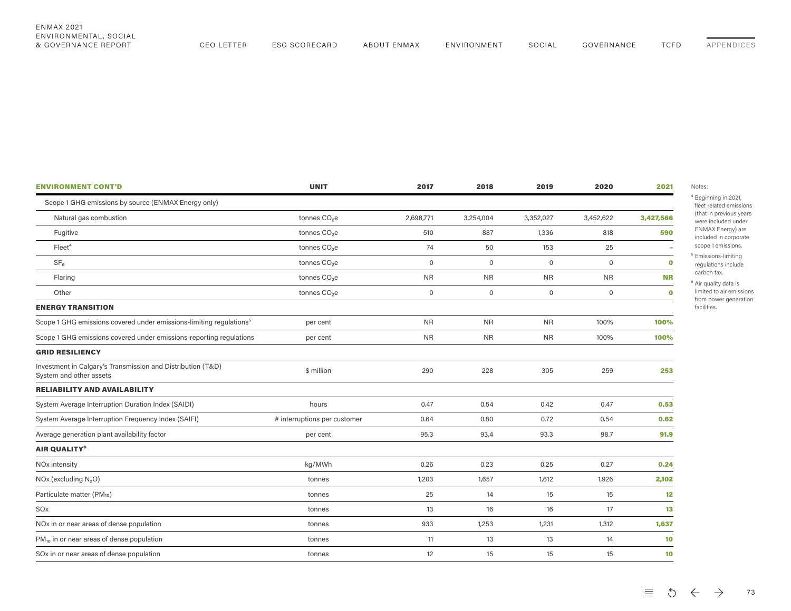<span id="page-2-0"></span>

| <b>ENMAX 2021</b><br>ENVIRONMENTAL, SOCIAL |            |               |             |             |        |            |             |            |
|--------------------------------------------|------------|---------------|-------------|-------------|--------|------------|-------------|------------|
| & GOVERNANCE REPORT                        | CEO LETTER | ESG SCORECARD | ABOUT ENMAX | ENVIRONMENT | SOCIAL | GOVERNANCE | <b>TCFD</b> | APPENDICES |

| <b>ENVIRONMENT CONT'D</b>                                                              | <b>UNIT</b>                  | 2017        | 2018                | 2019        | 2020                | 2021      |
|----------------------------------------------------------------------------------------|------------------------------|-------------|---------------------|-------------|---------------------|-----------|
| Scope 1 GHG emissions by source (ENMAX Energy only)                                    |                              |             |                     |             |                     |           |
| Natural gas combustion                                                                 | tonnes CO <sub>2</sub> e     | 2,698,771   | 3,254,004           | 3,352,027   | 3,452,622           | 3,427,566 |
| Fugitive                                                                               | tonnes CO <sub>2</sub> e     | 510         | 887                 | 1,336       | 818                 | 590       |
| Fleet <sup>4</sup>                                                                     | tonnes CO <sub>2</sub> e     | 74          | 50                  | 153         | 25                  |           |
| SF <sub>6</sub>                                                                        | tonnes CO <sub>2</sub> e     | $\mathbf 0$ | $\mathbf 0$         | $\mathbf 0$ | $\mathbf 0$         | $\bullet$ |
| Flaring                                                                                | tonnes CO <sub>2</sub> e     | <b>NR</b>   | <b>NR</b>           | <b>NR</b>   | <b>NR</b>           | <b>NR</b> |
| Other                                                                                  | tonnes CO <sub>2</sub> e     | $\mathbf 0$ | $\mathsf{O}\xspace$ | $\mathbf 0$ | $\mathsf{O}\xspace$ | $\bullet$ |
| <b>ENERGY TRANSITION</b>                                                               |                              |             |                     |             |                     |           |
| Scope 1 GHG emissions covered under emissions-limiting regulations <sup>5</sup>        | per cent                     | <b>NR</b>   | <b>NR</b>           | <b>NR</b>   | 100%                | 100%      |
| Scope 1 GHG emissions covered under emissions-reporting regulations                    | per cent                     | <b>NR</b>   | <b>NR</b>           | <b>NR</b>   | 100%                | 100%      |
| <b>GRID RESILIENCY</b>                                                                 |                              |             |                     |             |                     |           |
| Investment in Calgary's Transmission and Distribution (T&D)<br>System and other assets | \$ million                   | 290         | 228                 | 305         | 259                 | 253       |
| <b>RELIABILITY AND AVAILABILITY</b>                                                    |                              |             |                     |             |                     |           |
| System Average Interruption Duration Index (SAIDI)                                     | hours                        | 0.47        | 0.54                | 0.42        | 0.47                | 0.53      |
| System Average Interruption Frequency Index (SAIFI)                                    | # interruptions per customer | 0.64        | 0.80                | 0.72        | 0.54                | 0.62      |
| Average generation plant availability factor                                           | per cent                     | 95.3        | 93.4                | 93.3        | 98.7                | 91.9      |
| AIR QUALITY <sup>6</sup>                                                               |                              |             |                     |             |                     |           |
| NO <sub>x</sub> intensity                                                              | kg/MWh                       | 0.26        | 0.23                | 0.25        | 0.27                | 0.24      |
| $NOx$ (excluding $N2O$ )                                                               | tonnes                       | 1,203       | 1,657               | 1,612       | 1,926               | 2,102     |
| Particulate matter (PM10)                                                              | tonnes                       | 25          | 14                  | 15          | 15                  | 12        |
| SO <sub>x</sub>                                                                        | tonnes                       | 13          | 16                  | 16          | 17                  | 13        |
| NO <sub>x</sub> in or near areas of dense population                                   | tonnes                       | 933         | 1,253               | 1,231       | 1,312               | 1,637     |
| $PM_{10}$ in or near areas of dense population                                         | tonnes                       | 11          | 13                  | 13          | 14                  | 10        |
| SOx in or near areas of dense population                                               | tonnes                       | 12          | 15                  | 15          | 15                  | 10        |

ing in 2021, ated emissions previous years cluded under ENMAX Energy) are included in corporate

emissions. ons-limiting ions include tax.

ility data is to air emissions ower generation s.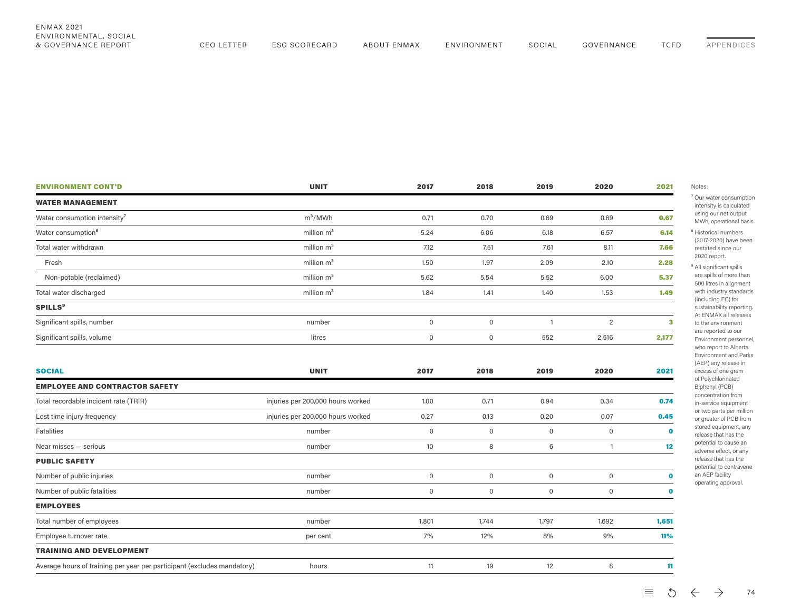| <b>ENVIRONMENT CONT'D</b>                                               | <b>UNIT</b>                       | 2017                | 2018                | 2019                | 2020                | 2021         |
|-------------------------------------------------------------------------|-----------------------------------|---------------------|---------------------|---------------------|---------------------|--------------|
| <b>WATER MANAGEMENT</b>                                                 |                                   |                     |                     |                     |                     |              |
| Water consumption intensity <sup>7</sup>                                | $m^3/MWh$                         | 0.71                | 0.70                | 0.69                | 0.69                | 0.67         |
| Water consumption <sup>8</sup>                                          | million $m3$                      | 5.24                | 6.06                | 6.18                | 6.57                | 6.14         |
| Total water withdrawn                                                   | million $m3$                      | 7.12                | 7.51                | 7.61                | 8.11                | 7.66         |
| Fresh                                                                   | million $m3$                      | 1.50                | 1.97                | 2.09                | 2.10                | 2.28         |
| Non-potable (reclaimed)                                                 | million $m3$                      | 5.62                | 5.54                | 5.52                | 6.00                | 5.37         |
| Total water discharged                                                  | million $m3$                      | 1.84                | 1.41                | 1.40                | 1.53                | 1.49         |
| <b>SPILLS<sup>9</sup></b>                                               |                                   |                     |                     |                     |                     |              |
| Significant spills, number                                              | number                            | $\mathsf{O}\xspace$ | $\mathsf{O}\xspace$ | $\mathbf{1}$        | 2                   | $\mathbf{3}$ |
| Significant spills, volume                                              | litres                            | $\mathsf{O}\xspace$ | $\mathsf{O}\xspace$ | 552                 | 2,516               | 2,177        |
|                                                                         |                                   |                     |                     |                     |                     |              |
| <b>SOCIAL</b>                                                           | <b>UNIT</b>                       | 2017                | 2018                | 2019                | 2020                | 2021         |
| <b>EMPLOYEE AND CONTRACTOR SAFETY</b>                                   |                                   |                     |                     |                     |                     |              |
| Total recordable incident rate (TRIR)                                   | injuries per 200,000 hours worked | 1.00                | 0.71                | 0.94                | 0.34                | 0.74         |
| Lost time injury frequency                                              | injuries per 200,000 hours worked | 0.27                | 0.13                | 0.20                | 0.07                | 0.45         |
| Fatalities                                                              | number                            | $\mathsf{O}\xspace$ | $\mathsf{O}\xspace$ | $\mathsf{O}\xspace$ | $\mathbb O$         | $\bullet$    |
| Near misses - serious                                                   | number                            | 10                  | 8                   | 6                   | $\mathbf{1}$        | 12           |
| <b>PUBLIC SAFETY</b>                                                    |                                   |                     |                     |                     |                     |              |
| Number of public injuries                                               | number                            | $\mathsf{O}\xspace$ | $\mathsf{O}\xspace$ | $\mathsf{O}\xspace$ | $\mathbb O$         | $\mathbf 0$  |
| Number of public fatalities                                             | number                            | $\mathsf{O}\xspace$ | $\mathsf{O}\xspace$ | $\mathsf 0$         | $\mathsf{O}\xspace$ | $\bullet$    |
| <b>EMPLOYEES</b>                                                        |                                   |                     |                     |                     |                     |              |
| Total number of employees                                               | number                            | 1,801               | 1,744               | 1,797               | 1,692               | 1,651        |
| Employee turnover rate                                                  | per cent                          | 7%                  | 12%                 | 8%                  | 9%                  | 11%          |
| <b>TRAINING AND DEVELOPMENT</b>                                         |                                   |                     |                     |                     |                     |              |
| Average hours of training per year per participant (excludes mandatory) | hours                             | 11                  | 19                  | 12                  | 8                   | 11           |

& GOVERNANCE REPORT CEO LETTER ESG SCORECARD ABOUT ENMAX ENVIRONMENT SOCIAL GOVERNANCE TCFD

<span id="page-3-0"></span>ENMAX 2021

ENVIRONMENTAL, SOCIAL

 $\equiv$  5  $\leftarrow$   $\rightarrow$ 74

[APPENDICES](#page-0-0)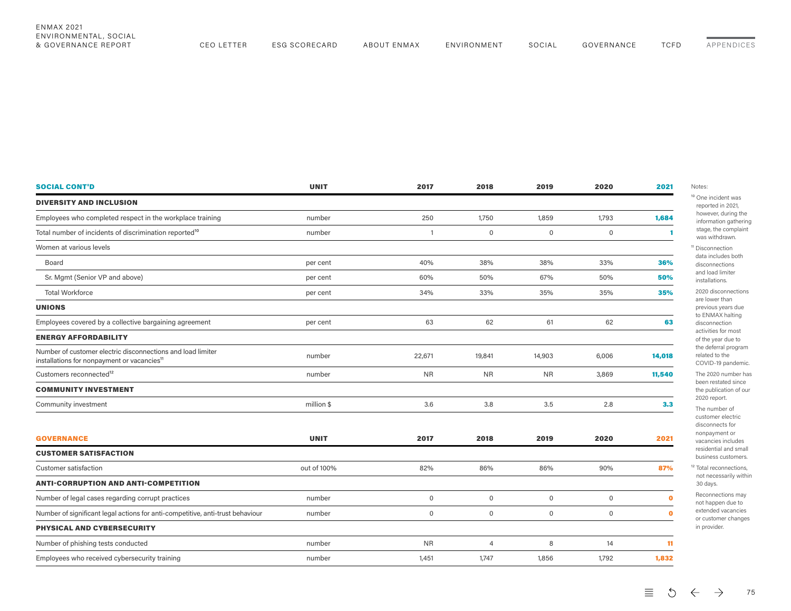| ENMAX 2021<br>ENVIRONMENTAL, SOCIAL<br>& GOVERNANCE REPORT | <b>CEO LETTER</b> | ESG SCORECARD | ABOUT ENMAX | ENVIRONMENT | SOCIAL | GOVERNANCE | <b>TCFD</b> | APPENDICES |
|------------------------------------------------------------|-------------------|---------------|-------------|-------------|--------|------------|-------------|------------|
|                                                            |                   |               |             |             |        |            |             |            |

| <b>SOCIAL CONT'D</b>                                                                                                   | <b>UNIT</b> | 2017                | 2018                | 2019                | 2020                | 2021      |
|------------------------------------------------------------------------------------------------------------------------|-------------|---------------------|---------------------|---------------------|---------------------|-----------|
| <b>DIVERSITY AND INCLUSION</b>                                                                                         |             |                     |                     |                     |                     |           |
| Employees who completed respect in the workplace training                                                              | number      | 250                 | 1,750               | 1,859               | 1,793               | 1,684     |
| Total number of incidents of discrimination reported <sup>10</sup>                                                     | number      | $\mathbf{1}$        | $\mathbf 0$         | $\mathsf{O}\xspace$ | $\mathsf{O}\xspace$ | 1         |
| Women at various levels                                                                                                |             |                     |                     |                     |                     |           |
| Board                                                                                                                  | per cent    | 40%                 | 38%                 | 38%                 | 33%                 | 36%       |
| Sr. Mgmt (Senior VP and above)                                                                                         | per cent    | 60%                 | 50%                 | 67%                 | 50%                 | 50%       |
| <b>Total Workforce</b>                                                                                                 | per cent    | 34%                 | 33%                 | 35%                 | 35%                 | 35%       |
| <b>UNIONS</b>                                                                                                          |             |                     |                     |                     |                     |           |
| Employees covered by a collective bargaining agreement                                                                 | per cent    | 63                  | 62                  | 61                  | 62                  | 63        |
| <b>ENERGY AFFORDABILITY</b>                                                                                            |             |                     |                     |                     |                     |           |
| Number of customer electric disconnections and load limiter<br>installations for nonpayment or vacancies <sup>11</sup> | number      | 22,671              | 19,841              | 14,903              | 6,006               | 14,018    |
| Customers reconnected <sup>12</sup>                                                                                    | number      | <b>NR</b>           | <b>NR</b>           | <b>NR</b>           | 3,869               | 11,540    |
| <b>COMMUNITY INVESTMENT</b>                                                                                            |             |                     |                     |                     |                     |           |
| Community investment                                                                                                   | million \$  | 3.6                 | 3.8                 | 3.5                 | 2.8                 | 3.3       |
| <b>GOVERNANCE</b>                                                                                                      | <b>UNIT</b> | 2017                | 2018                | 2019                | 2020                | 2021      |
| <b>CUSTOMER SATISFACTION</b>                                                                                           |             |                     |                     |                     |                     |           |
| Customer satisfaction                                                                                                  | out of 100% | 82%                 | 86%                 | 86%                 | 90%                 | 87%       |
| <b>ANTI-CORRUPTION AND ANTI-COMPETITION</b>                                                                            |             |                     |                     |                     |                     |           |
| Number of legal cases regarding corrupt practices                                                                      | number      | $\mathsf{O}\xspace$ | $\mathbf 0$         | $\mathsf{O}\xspace$ | $\mathsf{O}\xspace$ | $\bullet$ |
| Number of significant legal actions for anti-competitive, anti-trust behaviour                                         | number      | $\mathbf 0$         | $\mathsf{O}\xspace$ | $\mathsf{O}$        | $\mathsf{O}\xspace$ | $\bullet$ |
| PHYSICAL AND CYBERSECURITY                                                                                             |             |                     |                     |                     |                     |           |
| Number of phishing tests conducted                                                                                     | number      | <b>NR</b>           | $\overline{4}$      | 8                   | 14                  | 11        |
| Employees who received cybersecurity training                                                                          | number      | 1,451               | 1,747               | 1,856               | 1,792               | 1,832     |

¹⁰ One incident was ed in 2021, er, during the ation gathering the complaint ithdrawn. nection cludes both nections ad limiter tions.

> <span id="page-4-0"></span>lisconnections ver than us years due AX halting nection es for most ear due to erral program I to the -19 pandemic.

20 number has estated since blication of our eport. mber of ner electric nects for

yment or cies includes ntial and small ss customers.

econnections, cessarily within S. hections may

ppen due to ed vacancies omer changes ider.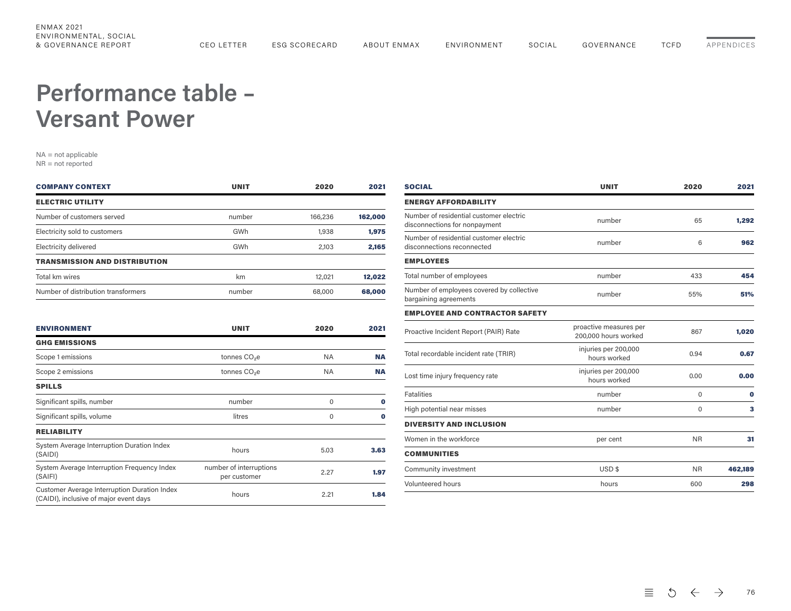## <span id="page-5-0"></span>**Performance table – Versant Power**

NA = not applicable NR = not reported

| <b>COMPANY CONTEXT</b>               | <b>UNIT</b> | 2020    | 2021    |
|--------------------------------------|-------------|---------|---------|
| <b>ELECTRIC UTILITY</b>              |             |         |         |
| Number of customers served           | number      | 166,236 | 162,000 |
| Electricity sold to customers        | GWh         | 1,938   | 1,975   |
| Electricity delivered                | GWh         | 2.103   | 2.165   |
| <b>TRANSMISSION AND DISTRIBUTION</b> |             |         |         |
| Total km wires                       | km          | 12,021  | 12,022  |
| Number of distribution transformers  | number      | 68,000  | 68,000  |

| <b>ENVIRONMENT</b>                                                                            | <b>UNIT</b>                             | 2020      | 2021      |
|-----------------------------------------------------------------------------------------------|-----------------------------------------|-----------|-----------|
| <b>GHG EMISSIONS</b>                                                                          |                                         |           |           |
| Scope 1 emissions                                                                             | tonnes CO <sub>2</sub> e                | <b>NA</b> | <b>NA</b> |
| Scope 2 emissions                                                                             | tonnes CO <sub>2</sub> e                | NA.       | <b>NA</b> |
| <b>SPILLS</b>                                                                                 |                                         |           |           |
| Significant spills, number                                                                    | number                                  | $\Omega$  | o         |
| Significant spills, volume                                                                    | litres                                  | $\Omega$  | 0         |
| <b>RELIABILITY</b>                                                                            |                                         |           |           |
| System Average Interruption Duration Index<br>(SAIDI)                                         | hours                                   | 5.03      | 3.63      |
| System Average Interruption Frequency Index<br>(SAIFI)                                        | number of interruptions<br>per customer | 2.27      | 1.97      |
| <b>Customer Average Interruption Duration Index</b><br>(CAIDI), inclusive of major event days | hours                                   | 2.21      | 1.84      |
|                                                                                               |                                         |           |           |

| <b>SOCIAL</b>                                                            | <b>UNIT</b>                                    | 2020      | 2021     |  |
|--------------------------------------------------------------------------|------------------------------------------------|-----------|----------|--|
| <b>ENERGY AFFORDABILITY</b>                                              |                                                |           |          |  |
| Number of residential customer electric<br>disconnections for nonpayment | number                                         | 65        | 1,292    |  |
| Number of residential customer electric<br>disconnections reconnected    | number                                         | 6         | 962      |  |
| <b>EMPLOYEES</b>                                                         |                                                |           |          |  |
| Total number of employees                                                | number                                         | 433       | 454      |  |
| Number of employees covered by collective<br>bargaining agreements       | number                                         | 55%       | 51%      |  |
| <b>EMPLOYEE AND CONTRACTOR SAFETY</b>                                    |                                                |           |          |  |
| Proactive Incident Report (PAIR) Rate                                    | proactive measures per<br>200,000 hours worked | 867       | 1,020    |  |
| Total recordable incident rate (TRIR)                                    | injuries per 200,000<br>hours worked           | 0.94      | 0.67     |  |
| Lost time injury frequency rate                                          | injuries per 200,000<br>hours worked           | 0.00      | 0.00     |  |
| <b>Fatalities</b>                                                        | number                                         | $\Omega$  | $\bf{0}$ |  |
| High potential near misses                                               | number                                         | 0         | 3        |  |
| <b>DIVERSITY AND INCLUSION</b>                                           |                                                |           |          |  |
| Women in the workforce                                                   | per cent                                       | <b>NR</b> | 31       |  |
| <b>COMMUNITIES</b>                                                       |                                                |           |          |  |
| Community investment                                                     | USD <sub>\$</sub>                              | <b>NR</b> | 462,189  |  |
| Volunteered hours                                                        | hours                                          | 600       | 298      |  |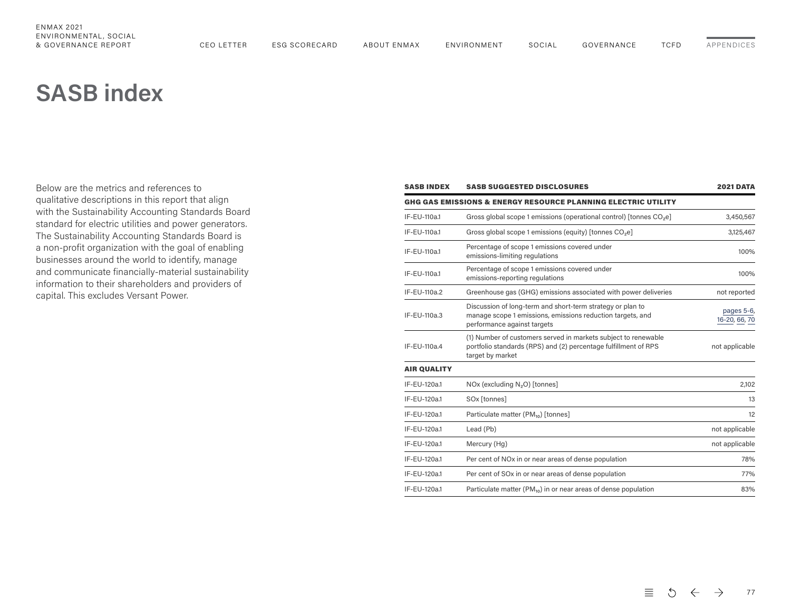# <span id="page-6-0"></span>**SASB index**

Below are the metrics and references to qualitative descriptions in this report that align with the Sustainability Accounting Standards Board standard for electric utilities and power generators. The Sustainability Accounting Standards Board is a non-profit organization with the goal of enabling businesses around the world to identify, manage and communicate financially-material sustainability information to their shareholders and providers of capital. This excludes Versant Power.

| <b>SASB INDEX</b>  | <b>SASB SUGGESTED DISCLOSURES</b>                                                                                                                       | <b>2021 DATA</b>            |
|--------------------|---------------------------------------------------------------------------------------------------------------------------------------------------------|-----------------------------|
|                    | GHG GAS EMISSIONS & ENERGY RESOURCE PLANNING ELECTRIC UTILITY                                                                                           |                             |
| IF-EU-110a.1       | Gross global scope 1 emissions (operational control) [tonnes CO <sub>2</sub> e]                                                                         | 3,450,567                   |
| IF-EU-110a.1       | Gross global scope 1 emissions (equity) [tonnes CO <sub>2</sub> e]                                                                                      | 3,125,467                   |
| IF-EU-110a.1       | Percentage of scope 1 emissions covered under<br>emissions-limiting regulations                                                                         | 100%                        |
| IF-EU-110a.1       | Percentage of scope 1 emissions covered under<br>emissions-reporting regulations                                                                        | 100%                        |
| IF-EU-110a.2       | Greenhouse gas (GHG) emissions associated with power deliveries                                                                                         | not reported                |
| IF-EU-110a.3       | Discussion of long-term and short-term strategy or plan to<br>manage scope 1 emissions, emissions reduction targets, and<br>performance against targets | pages 5-6,<br>16-20, 66, 70 |
| IF-EU-110a.4       | (1) Number of customers served in markets subject to renewable<br>portfolio standards (RPS) and (2) percentage fulfillment of RPS<br>target by market   | not applicable              |
| <b>AIR QUALITY</b> |                                                                                                                                                         |                             |
| IF-EU-120a.1       | NOx (excluding N <sub>2</sub> O) [tonnes]                                                                                                               | 2,102                       |
| IF-EU-120a.1       | SOx [tonnes]                                                                                                                                            | 13                          |
| IF-EU-120a.1       | Particulate matter (PM <sub>10</sub> ) [tonnes]                                                                                                         | 12                          |
| IF-EU-120a.1       | Lead (Pb)                                                                                                                                               | not applicable              |
| IF-EU-120a.1       | Mercury (Hq)                                                                                                                                            | not applicable              |
| IF-EU-120a.1       | Per cent of NO <sub>x</sub> in or near areas of dense population                                                                                        | 78%                         |
| IF-EU-120a.1       | Per cent of SOx in or near areas of dense population                                                                                                    | 77%                         |
| IF-EU-120a.1       | Particulate matter ( $PM_{10}$ ) in or near areas of dense population                                                                                   | 83%                         |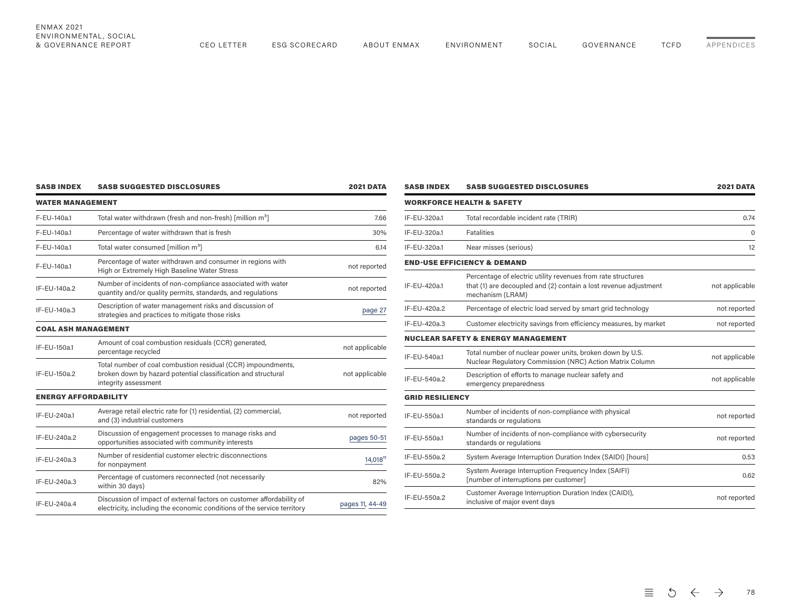|                 | WATER MANAGEMENT                                                                                                                                      |                             |  |  |  |  |  |
|-----------------|-------------------------------------------------------------------------------------------------------------------------------------------------------|-----------------------------|--|--|--|--|--|
|                 | Total water withdrawn (fresh and non-fresh) [million m <sup>3</sup> ]                                                                                 | F-EU-140a.1                 |  |  |  |  |  |
| 30%             | Percentage of water withdrawn that is fresh                                                                                                           | F-EU-140a.1                 |  |  |  |  |  |
|                 | Total water consumed [million m <sup>3</sup> ]                                                                                                        | F-EU-140a.1                 |  |  |  |  |  |
| not reported    | Percentage of water withdrawn and consumer in regions with<br>High or Extremely High Baseline Water Stress                                            | F-EU-140a.1                 |  |  |  |  |  |
| not reported    | Number of incidents of non-compliance associated with water<br>quantity and/or quality permits, standards, and regulations                            | IF-EU-140a.2                |  |  |  |  |  |
| page 27         | Description of water management risks and discussion of<br>strategies and practices to mitigate those risks                                           | IF-EU-140a.3                |  |  |  |  |  |
|                 |                                                                                                                                                       | <b>COAL ASH MANAGEMENT</b>  |  |  |  |  |  |
| not applicable  | Amount of coal combustion residuals (CCR) generated,<br>percentage recycled                                                                           | IF-EU-150a.1                |  |  |  |  |  |
| not applicable  | Total number of coal combustion residual (CCR) impoundments,<br>broken down by hazard potential classification and structural<br>integrity assessment | IF-EU-150a.2                |  |  |  |  |  |
|                 |                                                                                                                                                       | <b>ENERGY AFFORDABILITY</b> |  |  |  |  |  |
| not reported    | Average retail electric rate for (1) residential, (2) commercial,<br>and (3) industrial customers                                                     | IF-EU-240a.1                |  |  |  |  |  |
| pages 50-51     | Discussion of engagement processes to manage risks and<br>opportunities associated with community interests                                           | IF-EU-240a.2                |  |  |  |  |  |
| 14,01811        | Number of residential customer electric disconnections<br>for nonpayment                                                                              | IF-EU-240a.3                |  |  |  |  |  |
| 82%             | Percentage of customers reconnected (not necessarily<br>within 30 days)                                                                               | IF-EU-240a.3                |  |  |  |  |  |
| pages 11, 44-49 | Discussion of impact of external factors on customer affordability of<br>electricity, including the economic conditions of the service territory      | IF-EU-240a.4                |  |  |  |  |  |

SASB INDEX SASB SUGGESTED DISCLOSURES 2021 DATA

| <b>SASB INDEX</b>      | <b>SASB SUGGESTED DISCLOSURES</b>                                                                                                                    | <b>2021 DATA</b> |
|------------------------|------------------------------------------------------------------------------------------------------------------------------------------------------|------------------|
|                        | <b>WORKFORCE HEALTH &amp; SAFETY</b>                                                                                                                 |                  |
| IF-EU-320a.1           | Total recordable incident rate (TRIR)                                                                                                                | 0.74             |
| IF-EU-320a.1           | <b>Fatalities</b>                                                                                                                                    | 0                |
| IF-EU-320a.1           | Near misses (serious)                                                                                                                                | 12               |
|                        | <b>END-USE EFFICIENCY &amp; DEMAND</b>                                                                                                               |                  |
| IF-EU-420a.1           | Percentage of electric utility revenues from rate structures<br>that (1) are decoupled and (2) contain a lost revenue adjustment<br>mechanism (LRAM) | not applicable   |
| IF-EU-420a.2           | Percentage of electric load served by smart grid technology                                                                                          | not reported     |
| IF-EU-420a.3           | Customer electricity savings from efficiency measures, by market                                                                                     | not reported     |
|                        | <b>NUCLEAR SAFETY &amp; ENERGY MANAGEMENT</b>                                                                                                        |                  |
| IF-EU-540a.1           | Total number of nuclear power units, broken down by U.S.<br>Nuclear Regulatory Commission (NRC) Action Matrix Column                                 | not applicable   |
| IF-EU-540a.2           | Description of efforts to manage nuclear safety and<br>emergency preparedness                                                                        | not applicable   |
| <b>GRID RESILIENCY</b> |                                                                                                                                                      |                  |
| IF-EU-550a.1           | Number of incidents of non-compliance with physical<br>standards or regulations                                                                      | not reported     |
| IF-EU-550a.1           | Number of incidents of non-compliance with cybersecurity<br>standards or regulations                                                                 | not reported     |
| IF-EU-550a.2           | System Average Interruption Duration Index (SAIDI) [hours]                                                                                           | 0.53             |
| IF-EU-550a.2           | System Average Interruption Frequency Index (SAIFI)<br>[number of interruptions per customer]                                                        | 0.62             |
| IF-EU-550a.2           | Customer Average Interruption Duration Index (CAIDI),<br>inclusive of major event days                                                               | not reported     |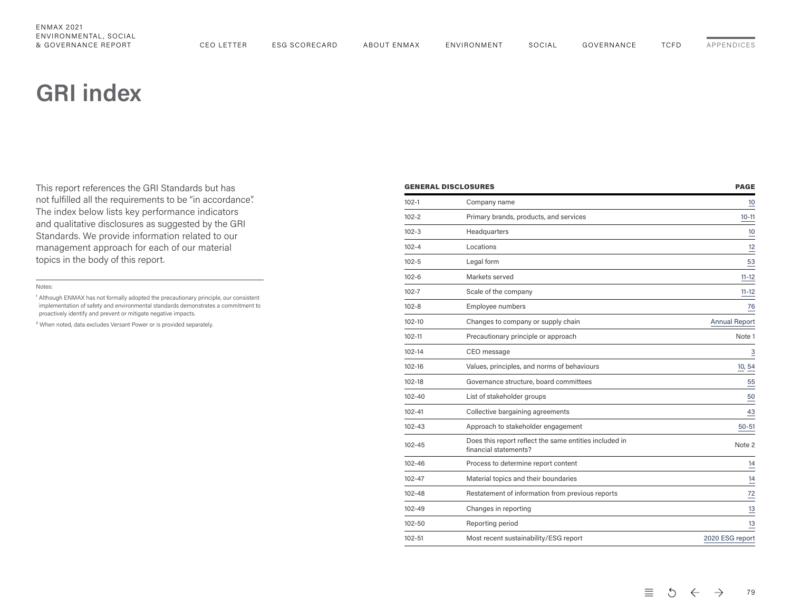# <span id="page-8-0"></span>**GRI index**

This report references the GRI Standards but has not fulfilled all the requirements to be "in accordance". The index below lists key performance indicators and qualitative disclosures as suggested by the GRI Standards. We provide information related to our management approach for each of our material topics in the body of this report.

#### Notes:

<sup>1</sup> Although ENMAX has not formally adopted the precautionary principle, our consistent implementation of safety and environmental standards demonstrates a commitment to proactively identify and prevent or mitigate negative impacts.

² When noted, data excludes Versant Power or is provided separately.

| <b>GENERAL DISCLOSURES</b> |                                                                                 | <b>PAGE</b>          |
|----------------------------|---------------------------------------------------------------------------------|----------------------|
| $102 - 1$                  | Company name                                                                    | $\overline{10}$      |
| $102 - 2$                  | Primary brands, products, and services                                          | $10 - 11$            |
| $102 - 3$                  | Headquarters                                                                    | $\frac{10}{1}$       |
| $102 - 4$                  | Locations                                                                       | 12                   |
| $102 - 5$                  | Legal form                                                                      | $\frac{53}{2}$       |
| $102 - 6$                  | Markets served                                                                  | $11 - 12$            |
| $102 - 7$                  | Scale of the company                                                            | $11 - 12$            |
| $102 - 8$                  | Employee numbers                                                                | 76                   |
| 102-10                     | Changes to company or supply chain                                              | <b>Annual Report</b> |
| 102-11                     | Precautionary principle or approach                                             | Note 1               |
| 102-14                     | CEO message                                                                     | $\frac{3}{1}$        |
| 102-16                     | Values, principles, and norms of behaviours                                     | 10, 54               |
| 102-18                     | Governance structure, board committees                                          | 55                   |
| 102-40                     | List of stakeholder groups                                                      | 50                   |
| 102-41                     | Collective bargaining agreements                                                | $\frac{43}{1}$       |
| 102-43                     | Approach to stakeholder engagement                                              | $50 - 51$            |
| 102-45                     | Does this report reflect the same entities included in<br>financial statements? | Note 2               |
| 102-46                     | Process to determine report content                                             | $\frac{14}{1}$       |
| 102-47                     | Material topics and their boundaries                                            | 14                   |
| 102-48                     | Restatement of information from previous reports                                | $\stackrel{72}{=}$   |
| 102-49                     | Changes in reporting                                                            | $\frac{13}{1}$       |
| 102-50                     | Reporting period                                                                | $\frac{13}{1}$       |
| 102-51                     | Most recent sustainability/ESG report                                           | 2020 ESG report      |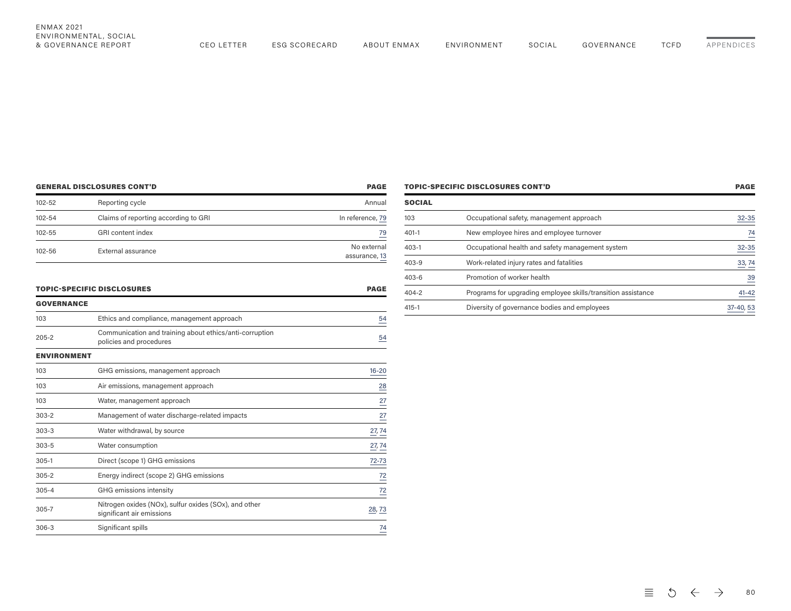[APPENDICES](#page-0-0)

| <b>GENERAL DISCLOSURES CONT'D</b> |                                      | <b>PAGE</b>                  |
|-----------------------------------|--------------------------------------|------------------------------|
| 102-52                            | Reporting cycle                      | Annual                       |
| 102-54                            | Claims of reporting according to GRI | In reference, 79             |
| 102-55                            | <b>GRI</b> content index             | 79                           |
| 102-56                            | External assurance                   | No external<br>assurance, 13 |

| <b>TOPIC-SPECIFIC DISCLOSURES CONT'D</b> |                                                              | <b>PAGE</b>    |
|------------------------------------------|--------------------------------------------------------------|----------------|
| <b>SOCIAL</b>                            |                                                              |                |
| 103                                      | Occupational safety, management approach                     | $32 - 35$      |
| $401 - 1$                                | New employee hires and employee turnover                     | 74             |
| $403 - 1$                                | Occupational health and safety management system             | $32 - 35$      |
| $403 - 9$                                | Work-related injury rates and fatalities                     | 33, 74         |
| $403 - 6$                                | Promotion of worker health                                   | $\frac{39}{5}$ |
| $404 - 2$                                | Programs for upgrading employee skills/transition assistance | $41 - 42$      |
| $415 - 1$                                | Diversity of governance bodies and employees                 | 37-40, 53      |
|                                          |                                                              |                |

| <b>TOPIC-SPECIFIC DISCLOSURES</b> | <b>PAGE</b> |
|-----------------------------------|-------------|

| <b>GOVERNANCE</b>  |                                                                                    |                 |
|--------------------|------------------------------------------------------------------------------------|-----------------|
| 103                | Ethics and compliance, management approach                                         | $\frac{54}{1}$  |
| $205 - 2$          | Communication and training about ethics/anti-corruption<br>policies and procedures | $\frac{54}{1}$  |
| <b>ENVIRONMENT</b> |                                                                                    |                 |
| 103                | GHG emissions, management approach                                                 | $16 - 20$       |
| 103                | Air emissions, management approach                                                 | $\frac{28}{1}$  |
| 103                | Water, management approach                                                         | $\overline{27}$ |
| $303 - 2$          | Management of water discharge-related impacts                                      | 27              |
| $303 - 3$          | Water withdrawal, by source                                                        | 27, 74          |
| $303 - 5$          | Water consumption                                                                  | 27, 74          |
| $305 - 1$          | Direct (scope 1) GHG emissions                                                     | 72-73           |
| $305 - 2$          | Energy indirect (scope 2) GHG emissions                                            | $\frac{72}{1}$  |
| $305 - 4$          | GHG emissions intensity                                                            | $\frac{72}{1}$  |
| $305 - 7$          | Nitrogen oxides (NOx), sulfur oxides (SOx), and other<br>significant air emissions | 28,73           |
| $306 - 3$          | Significant spills                                                                 | 74              |
|                    |                                                                                    |                 |

 $\equiv$  5  $\leftarrow$   $\rightarrow$ 80